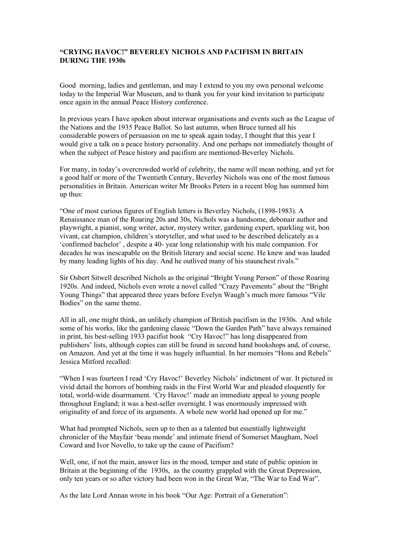## **"CRYING HAVOC!" BEVERLEY NICHOLS AND PACIFISM IN BRITAIN DURING THE 1930s**

Good morning, ladies and gentleman, and may I extend to you my own personal welcome today to the Imperial War Museum, and to thank you for your kind invitation to participate once again in the annual Peace History conference.

In previous years I have spoken about interwar organisations and events such as the League of the Nations and the 1935 Peace Ballot. So last autumn, when Bruce turned all his considerable powers of persuasion on me to speak again today, I thought that this year I would give a talk on a peace history personality. And one perhaps not immediately thought of when the subject of Peace history and pacifism are mentioned-Beverley Nichols.

For many, in today's overcrowded world of celebrity, the name will mean nothing, and yet for a good half or more of the Twentieth Century, Beverley Nichols was one of the most famous personalities in Britain. American writer Mr Brooks Peters in a recent blog has summed him up thus:

"One of most curious figures of English letters is Beverley Nichols, (1898-1983). A Renaissance man of the Roaring 20s and 30s, Nichols was a handsome, debonair author and playwright, a pianist, song writer, actor, mystery writer, gardening expert, sparkling wit, bon vivant, cat champion, children's storyteller, and what used to be described delicately as a 'confirmed bachelor' , despite a 40- year long relationship with his male companion. For decades he was inescapable on the British literary and social scene. He knew and was lauded by many leading lights of his day. And he outlived many of his staunchest rivals."

Sir Osbert Sitwell described Nichols as the original "Bright Young Person" of those Roaring 1920s. And indeed, Nichols even wrote a novel called "Crazy Pavements" about the "Bright Young Things" that appeared three years before Evelyn Waugh's much more famous "Vile Bodies" on the same theme.

All in all, one might think, an unlikely champion of British pacifism in the 1930s. And while some of his works, like the gardening classic "Down the Garden Path" have always remained in print, his best-selling 1933 pacifist book "Cry Havoc!" has long disappeared from publishers' lists, although copies can still be found in second hand bookshops and, of course, on Amazon. And yet at the time it was hugely influential. In her memoirs "Hons and Rebels" Jessica Mitford recalled:

"When I was fourteen I read 'Cry Havoc!' Beverley Nichols' indictment of war. It pictured in vivid detail the horrors of bombing raids in the First World War and pleaded eloquently for total, world-wide disarmament. 'Cry Havoc!' made an immediate appeal to young people throughout England; it was a best-seller overnight. I was enormously impressed with originality of and force of its arguments. A whole new world had opened up for me."

What had prompted Nichols, seen up to then as a talented but essentially lightweight chronicler of the Mayfair 'beau monde' and intimate friend of Somerset Maugham, Noel Coward and Ivor Novello, to take up the cause of Pacifism?

Well, one, if not the main, answer lies in the mood, temper and state of public opinion in Britain at the beginning of the 1930s, as the country grappled with the Great Depression, only ten years or so after victory had been won in the Great War, "The War to End War".

As the late Lord Annan wrote in his book "Our Age: Portrait of a Generation":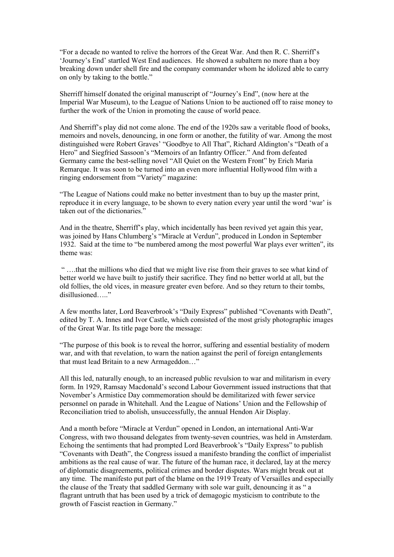"For a decade no wanted to relive the horrors of the Great War. And then R. C. Sherriff's 'Journey's End' startled West End audiences. He showed a subaltern no more than a boy breaking down under shell fire and the company commander whom he idolized able to carry on only by taking to the bottle."

Sherriff himself donated the original manuscript of "Journey's End", (now here at the Imperial War Museum), to the League of Nations Union to be auctioned off to raise money to further the work of the Union in promoting the cause of world peace.

And Sherriff's play did not come alone. The end of the 1920s saw a veritable flood of books, memoirs and novels, denouncing, in one form or another, the futility of war. Among the most distinguished were Robert Graves' "Goodbye to All That", Richard Aldington's "Death of a Hero" and Siegfried Sassoon's "Memoirs of an Infantry Officer." And from defeated Germany came the best-selling novel "All Quiet on the Western Front" by Erich Maria Remarque. It was soon to be turned into an even more influential Hollywood film with a ringing endorsement from "Variety" magazine:

"The League of Nations could make no better investment than to buy up the master print, reproduce it in every language, to be shown to every nation every year until the word 'war' is taken out of the dictionaries."

And in the theatre, Sherriff's play, which incidentally has been revived yet again this year, was joined by Hans Chlumberg's "Miracle at Verdun", produced in London in September 1932. Said at the time to "be numbered among the most powerful War plays ever written", its theme was:

 " ….that the millions who died that we might live rise from their graves to see what kind of better world we have built to justify their sacrifice. They find no better world at all, but the old follies, the old vices, in measure greater even before. And so they return to their tombs, disillusioned….."

A few months later, Lord Beaverbrook's "Daily Express" published "Covenants with Death", edited by T. A. Innes and Ivor Castle, which consisted of the most grisly photographic images of the Great War. Its title page bore the message:

"The purpose of this book is to reveal the horror, suffering and essential bestiality of modern war, and with that revelation, to warn the nation against the peril of foreign entanglements that must lead Britain to a new Armageddon…"

All this led, naturally enough, to an increased public revulsion to war and militarism in every form. In 1929, Ramsay Macdonald's second Labour Government issued instructions that that November's Armistice Day commemoration should be demilitarized with fewer service personnel on parade in Whitehall. And the League of Nations' Union and the Fellowship of Reconciliation tried to abolish, unsuccessfully, the annual Hendon Air Display.

And a month before "Miracle at Verdun" opened in London, an international Anti-War Congress, with two thousand delegates from twenty-seven countries, was held in Amsterdam. Echoing the sentiments that had prompted Lord Beaverbrook's "Daily Express" to publish "Covenants with Death", the Congress issued a manifesto branding the conflict of imperialist ambitions as the real cause of war. The future of the human race, it declared, lay at the mercy of diplomatic disagreements, political crimes and border disputes. Wars might break out at any time. The manifesto put part of the blame on the 1919 Treaty of Versailles and especially the clause of the Treaty that saddled Germany with sole war guilt, denouncing it as " a flagrant untruth that has been used by a trick of demagogic mysticism to contribute to the growth of Fascist reaction in Germany."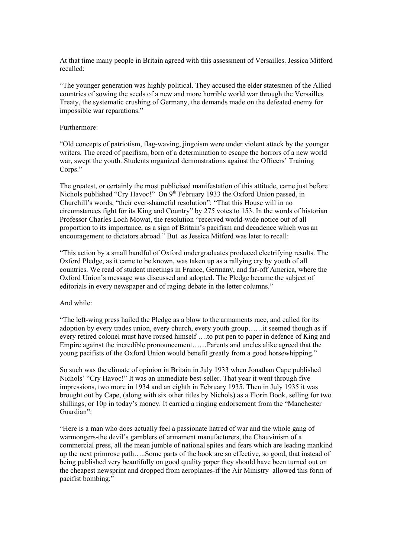At that time many people in Britain agreed with this assessment of Versailles. Jessica Mitford recalled:

"The younger generation was highly political. They accused the elder statesmen of the Allied countries of sowing the seeds of a new and more horrible world war through the Versailles Treaty, the systematic crushing of Germany, the demands made on the defeated enemy for impossible war reparations."

## Furthermore:

"Old concepts of patriotism, flag-waving, jingoism were under violent attack by the younger writers. The creed of pacifism, born of a determination to escape the horrors of a new world war, swept the youth. Students organized demonstrations against the Officers' Training Corps."

The greatest, or certainly the most publicised manifestation of this attitude, came just before Nichols published "Cry Havoc!" On 9<sup>th</sup> February 1933 the Oxford Union passed, in Churchill's words, "their ever-shameful resolution": "That this House will in no circumstances fight for its King and Country" by 275 votes to 153. In the words of historian Professor Charles Loch Mowat, the resolution "received world-wide notice out of all proportion to its importance, as a sign of Britain's pacifism and decadence which was an encouragement to dictators abroad." But as Jessica Mitford was later to recall:

"This action by a small handful of Oxford undergraduates produced electrifying results. The Oxford Pledge, as it came to be known, was taken up as a rallying cry by youth of all countries. We read of student meetings in France, Germany, and far-off America, where the Oxford Union's message was discussed and adopted. The Pledge became the subject of editorials in every newspaper and of raging debate in the letter columns."

## And while:

"The left-wing press hailed the Pledge as a blow to the armaments race, and called for its adoption by every trades union, every church, every youth group……it seemed though as if every retired colonel must have roused himself ….to put pen to paper in defence of King and Empire against the incredible pronouncement……Parents and uncles alike agreed that the young pacifists of the Oxford Union would benefit greatly from a good horsewhipping."

So such was the climate of opinion in Britain in July 1933 when Jonathan Cape published Nichols' "Cry Havoc!" It was an immediate best-seller. That year it went through five impressions, two more in 1934 and an eighth in February 1935. Then in July 1935 it was brought out by Cape, (along with six other titles by Nichols) as a Florin Book, selling for two shillings, or 10p in today's money. It carried a ringing endorsement from the "Manchester Guardian":

"Here is a man who does actually feel a passionate hatred of war and the whole gang of warmongers-the devil's gamblers of armament manufacturers, the Chauvinism of a commercial press, all the mean jumble of national spites and fears which are leading mankind up the next primrose path…..Some parts of the book are so effective, so good, that instead of being published very beautifully on good quality paper they should have been turned out on the cheapest newsprint and dropped from aeroplanes-if the Air Ministry allowed this form of pacifist bombing."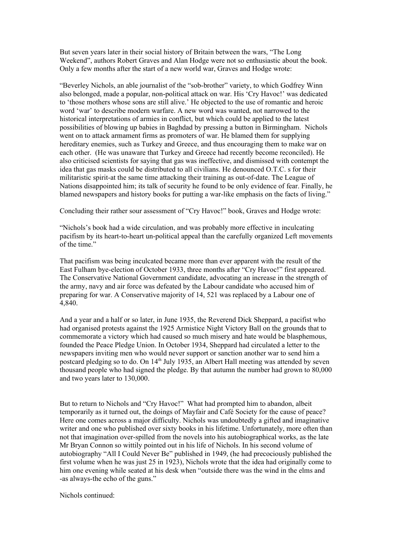But seven years later in their social history of Britain between the wars, "The Long Weekend", authors Robert Graves and Alan Hodge were not so enthusiastic about the book. Only a few months after the start of a new world war, Graves and Hodge wrote:

"Beverley Nichols, an able journalist of the "sob-brother" variety, to which Godfrey Winn also belonged, made a popular, non-political attack on war. His 'Cry Havoc!' was dedicated to 'those mothers whose sons are still alive.' He objected to the use of romantic and heroic word 'war' to describe modern warfare. A new word was wanted, not narrowed to the historical interpretations of armies in conflict, but which could be applied to the latest possibilities of blowing up babies in Baghdad by pressing a button in Birmingham. Nichols went on to attack armament firms as promoters of war. He blamed them for supplying hereditary enemies, such as Turkey and Greece, and thus encouraging them to make war on each other. (He was unaware that Turkey and Greece had recently become reconciled). He also criticised scientists for saying that gas was ineffective, and dismissed with contempt the idea that gas masks could be distributed to all civilians. He denounced O.T.C. s for their militaristic spirit-at the same time attacking their training as out-of-date. The League of Nations disappointed him; its talk of security he found to be only evidence of fear. Finally, he blamed newspapers and history books for putting a war-like emphasis on the facts of living."

Concluding their rather sour assessment of "Cry Havoc!" book, Graves and Hodge wrote:

"Nichols's book had a wide circulation, and was probably more effective in inculcating pacifism by its heart-to-heart un-political appeal than the carefully organized Left movements of the time."

That pacifism was being inculcated became more than ever apparent with the result of the East Fulham bye-election of October 1933, three months after "Cry Havoc!" first appeared. The Conservative National Government candidate, advocating an increase in the strength of the army, navy and air force was defeated by the Labour candidate who accused him of preparing for war. A Conservative majority of 14, 521 was replaced by a Labour one of 4,840.

And a year and a half or so later, in June 1935, the Reverend Dick Sheppard, a pacifist who had organised protests against the 1925 Armistice Night Victory Ball on the grounds that to commemorate a victory which had caused so much misery and hate would be blasphemous, founded the Peace Pledge Union. In October 1934, Sheppard had circulated a letter to the newspapers inviting men who would never support or sanction another war to send him a postcard pledging so to do. On  $14<sup>th</sup>$  July 1935, an Albert Hall meeting was attended by seven thousand people who had signed the pledge. By that autumn the number had grown to 80,000 and two years later to 130,000.

But to return to Nichols and "Cry Havoc!" What had prompted him to abandon, albeit temporarily as it turned out, the doings of Mayfair and Café Society for the cause of peace? Here one comes across a major difficulty. Nichols was undoubtedly a gifted and imaginative writer and one who published over sixty books in his lifetime. Unfortunately, more often than not that imagination over-spilled from the novels into his autobiographical works, as the late Mr Bryan Connon so wittily pointed out in his life of Nichols. In his second volume of autobiography "All I Could Never Be" published in 1949, (he had precociously published the first volume when he was just 25 in 1923), Nichols wrote that the idea had originally come to him one evening while seated at his desk when "outside there was the wind in the elms and -as always-the echo of the guns."

Nichols continued: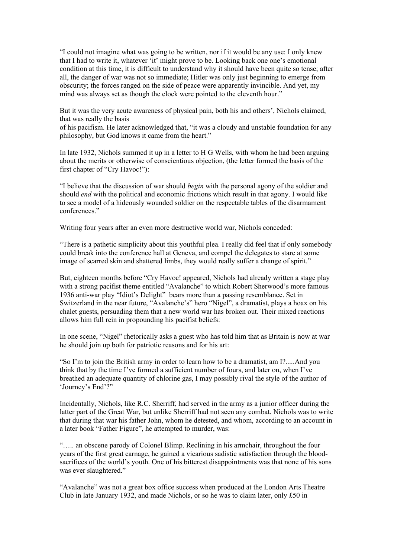"I could not imagine what was going to be written, nor if it would be any use: I only knew that I had to write it, whatever 'it' might prove to be. Looking back one one's emotional condition at this time, it is difficult to understand why it should have been quite so tense; after all, the danger of war was not so immediate; Hitler was only just beginning to emerge from obscurity; the forces ranged on the side of peace were apparently invincible. And yet, my mind was always set as though the clock were pointed to the eleventh hour."

But it was the very acute awareness of physical pain, both his and others', Nichols claimed, that was really the basis

of his pacifism. He later acknowledged that, "it was a cloudy and unstable foundation for any philosophy, but God knows it came from the heart."

In late 1932, Nichols summed it up in a letter to H G Wells, with whom he had been arguing about the merits or otherwise of conscientious objection, (the letter formed the basis of the first chapter of "Cry Havoc!"):

"I believe that the discussion of war should *begin* with the personal agony of the soldier and should *end* with the political and economic frictions which result in that agony. I would like to see a model of a hideously wounded soldier on the respectable tables of the disarmament conferences."

Writing four years after an even more destructive world war, Nichols conceded:

"There is a pathetic simplicity about this youthful plea. I really did feel that if only somebody could break into the conference hall at Geneva, and compel the delegates to stare at some image of scarred skin and shattered limbs, they would really suffer a change of spirit."

But, eighteen months before "Cry Havoc! appeared, Nichols had already written a stage play with a strong pacifist theme entitled "Avalanche" to which Robert Sherwood's more famous 1936 anti-war play "Idiot's Delight" bears more than a passing resemblance. Set in Switzerland in the near future, "Avalanche's" hero "Nigel", a dramatist, plays a hoax on his chalet guests, persuading them that a new world war has broken out. Their mixed reactions allows him full rein in propounding his pacifist beliefs:

In one scene, "Nigel" rhetorically asks a guest who has told him that as Britain is now at war he should join up both for patriotic reasons and for his art:

"So I'm to join the British army in order to learn how to be a dramatist, am I?.....And you think that by the time I've formed a sufficient number of fours, and later on, when I've breathed an adequate quantity of chlorine gas, I may possibly rival the style of the author of 'Journey's End'?"

Incidentally, Nichols, like R.C. Sherriff, had served in the army as a junior officer during the latter part of the Great War, but unlike Sherriff had not seen any combat. Nichols was to write that during that war his father John, whom he detested, and whom, according to an account in a later book "Father Figure", he attempted to murder, was:

"….. an obscene parody of Colonel Blimp. Reclining in his armchair, throughout the four years of the first great carnage, he gained a vicarious sadistic satisfaction through the bloodsacrifices of the world's youth. One of his bitterest disappointments was that none of his sons was ever slaughtered."

"Avalanche" was not a great box office success when produced at the London Arts Theatre Club in late January 1932, and made Nichols, or so he was to claim later, only £50 in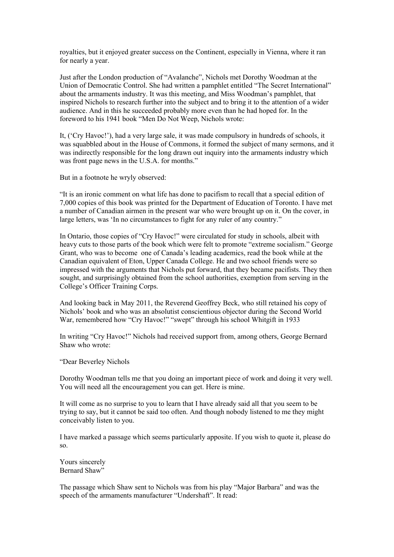royalties, but it enjoyed greater success on the Continent, especially in Vienna, where it ran for nearly a year.

Just after the London production of "Avalanche", Nichols met Dorothy Woodman at the Union of Democratic Control. She had written a pamphlet entitled "The Secret International" about the armaments industry. It was this meeting, and Miss Woodman's pamphlet, that inspired Nichols to research further into the subject and to bring it to the attention of a wider audience. And in this he succeeded probably more even than he had hoped for. In the foreword to his 1941 book "Men Do Not Weep, Nichols wrote:

It, ('Cry Havoc!'), had a very large sale, it was made compulsory in hundreds of schools, it was squabbled about in the House of Commons, it formed the subject of many sermons, and it was indirectly responsible for the long drawn out inquiry into the armaments industry which was front page news in the U.S.A. for months."

But in a footnote he wryly observed:

"It is an ironic comment on what life has done to pacifism to recall that a special edition of 7,000 copies of this book was printed for the Department of Education of Toronto. I have met a number of Canadian airmen in the present war who were brought up on it. On the cover, in large letters, was 'In no circumstances to fight for any ruler of any country."

In Ontario, those copies of "Cry Havoc!" were circulated for study in schools, albeit with heavy cuts to those parts of the book which were felt to promote "extreme socialism." George Grant, who was to become one of Canada's leading academics, read the book while at the Canadian equivalent of Eton, Upper Canada College. He and two school friends were so impressed with the arguments that Nichols put forward, that they became pacifists. They then sought, and surprisingly obtained from the school authorities, exemption from serving in the College's Officer Training Corps.

And looking back in May 2011, the Reverend Geoffrey Beck, who still retained his copy of Nichols' book and who was an absolutist conscientious objector during the Second World War, remembered how "Cry Havoc!" "swept" through his school Whitgift in 1933

In writing "Cry Havoc!" Nichols had received support from, among others, George Bernard Shaw who wrote:

"Dear Beverley Nichols

Dorothy Woodman tells me that you doing an important piece of work and doing it very well. You will need all the encouragement you can get. Here is mine.

It will come as no surprise to you to learn that I have already said all that you seem to be trying to say, but it cannot be said too often. And though nobody listened to me they might conceivably listen to you.

I have marked a passage which seems particularly apposite. If you wish to quote it, please do so.

Yours sincerely Bernard Shaw"

The passage which Shaw sent to Nichols was from his play "Major Barbara" and was the speech of the armaments manufacturer "Undershaft". It read: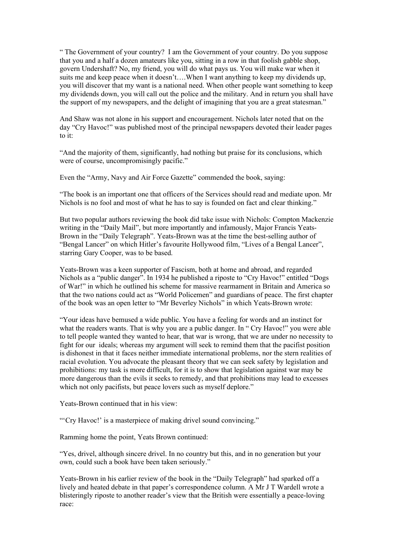" The Government of your country? I am the Government of your country. Do you suppose that you and a half a dozen amateurs like you, sitting in a row in that foolish gabble shop, govern Undershaft? No, my friend, you will do what pays us. You will make war when it suits me and keep peace when it doesn't….When I want anything to keep my dividends up, you will discover that my want is a national need. When other people want something to keep my dividends down, you will call out the police and the military. And in return you shall have the support of my newspapers, and the delight of imagining that you are a great statesman."

And Shaw was not alone in his support and encouragement. Nichols later noted that on the day "Cry Havoc!" was published most of the principal newspapers devoted their leader pages to it:

"And the majority of them, significantly, had nothing but praise for its conclusions, which were of course, uncompromisingly pacific."

Even the "Army, Navy and Air Force Gazette" commended the book, saying:

"The book is an important one that officers of the Services should read and mediate upon. Mr Nichols is no fool and most of what he has to say is founded on fact and clear thinking."

But two popular authors reviewing the book did take issue with Nichols: Compton Mackenzie writing in the "Daily Mail", but more importantly and infamously, Major Francis Yeats-Brown in the "Daily Telegraph". Yeats-Brown was at the time the best-selling author of "Bengal Lancer" on which Hitler's favourite Hollywood film, "Lives of a Bengal Lancer", starring Gary Cooper, was to be based.

Yeats-Brown was a keen supporter of Fascism, both at home and abroad, and regarded Nichols as a "public danger". In 1934 he published a riposte to "Cry Havoc!" entitled "Dogs of War!" in which he outlined his scheme for massive rearmament in Britain and America so that the two nations could act as "World Policemen" and guardians of peace. The first chapter of the book was an open letter to "Mr Beverley Nichols" in which Yeats-Brown wrote:

"Your ideas have bemused a wide public. You have a feeling for words and an instinct for what the readers wants. That is why you are a public danger. In "Cry Havoc!" you were able to tell people wanted they wanted to hear, that war is wrong, that we are under no necessity to fight for our ideals; whereas my argument will seek to remind them that the pacifist position is dishonest in that it faces neither immediate international problems, nor the stern realities of racial evolution. You advocate the pleasant theory that we can seek safety by legislation and prohibitions: my task is more difficult, for it is to show that legislation against war may be more dangerous than the evils it seeks to remedy, and that prohibitions may lead to excesses which not only pacifists, but peace lovers such as myself deplore."

Yeats-Brown continued that in his view:

"Cry Havoc!' is a masterpiece of making drivel sound convincing."

Ramming home the point, Yeats Brown continued:

"Yes, drivel, although sincere drivel. In no country but this, and in no generation but your own, could such a book have been taken seriously."

Yeats-Brown in his earlier review of the book in the "Daily Telegraph" had sparked off a lively and heated debate in that paper's correspondence column. A Mr J T Wardell wrote a blisteringly riposte to another reader's view that the British were essentially a peace-loving race: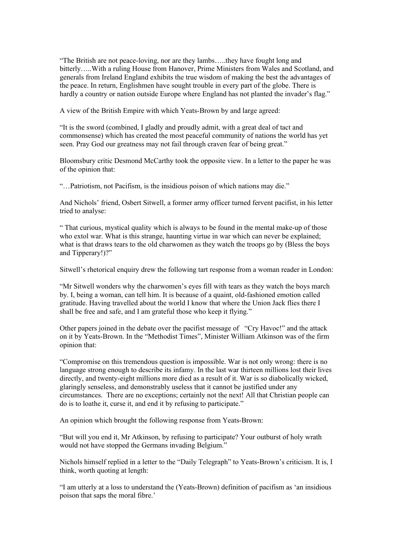"The British are not peace-loving, nor are they lambs…..they have fought long and bitterly…..With a ruling House from Hanover, Prime Ministers from Wales and Scotland, and generals from Ireland England exhibits the true wisdom of making the best the advantages of the peace. In return, Englishmen have sought trouble in every part of the globe. There is hardly a country or nation outside Europe where England has not planted the invader's flag."

A view of the British Empire with which Yeats-Brown by and large agreed:

"It is the sword (combined, I gladly and proudly admit, with a great deal of tact and commonsense) which has created the most peaceful community of nations the world has yet seen. Pray God our greatness may not fail through craven fear of being great."

Bloomsbury critic Desmond McCarthy took the opposite view. In a letter to the paper he was of the opinion that:

"…Patriotism, not Pacifism, is the insidious poison of which nations may die."

And Nichols' friend, Osbert Sitwell, a former army officer turned fervent pacifist, in his letter tried to analyse:

" That curious, mystical quality which is always to be found in the mental make-up of those who extol war. What is this strange, haunting virtue in war which can never be explained; what is that draws tears to the old charwomen as they watch the troops go by (Bless the boys and Tipperary!)?"

Sitwell's rhetorical enquiry drew the following tart response from a woman reader in London:

"Mr Sitwell wonders why the charwomen's eyes fill with tears as they watch the boys march by. I, being a woman, can tell him. It is because of a quaint, old-fashioned emotion called gratitude. Having travelled about the world I know that where the Union Jack flies there I shall be free and safe, and I am grateful those who keep it flying."

Other papers joined in the debate over the pacifist message of "Cry Havoc!" and the attack on it by Yeats-Brown. In the "Methodist Times", Minister William Atkinson was of the firm opinion that:

"Compromise on this tremendous question is impossible. War is not only wrong: there is no language strong enough to describe its infamy. In the last war thirteen millions lost their lives directly, and twenty-eight millions more died as a result of it. War is so diabolically wicked, glaringly senseless, and demonstrably useless that it cannot be justified under any circumstances. There are no exceptions; certainly not the next! All that Christian people can do is to loathe it, curse it, and end it by refusing to participate."

An opinion which brought the following response from Yeats-Brown:

"But will you end it, Mr Atkinson, by refusing to participate? Your outburst of holy wrath would not have stopped the Germans invading Belgium."

Nichols himself replied in a letter to the "Daily Telegraph" to Yeats-Brown's criticism. It is, I think, worth quoting at length:

"I am utterly at a loss to understand the (Yeats-Brown) definition of pacifism as 'an insidious poison that saps the moral fibre.'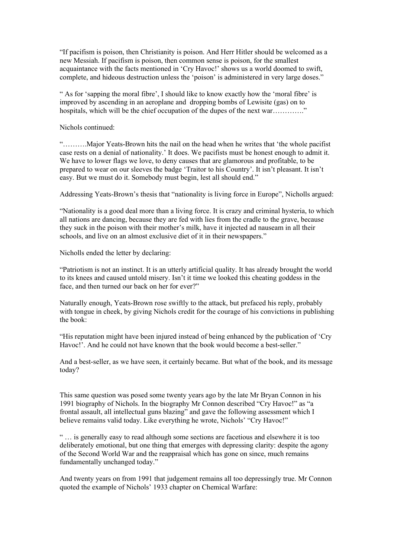"If pacifism is poison, then Christianity is poison. And Herr Hitler should be welcomed as a new Messiah. If pacifism is poison, then common sense is poison, for the smallest acquaintance with the facts mentioned in 'Cry Havoc!' shows us a world doomed to swift, complete, and hideous destruction unless the 'poison' is administered in very large doses."

" As for 'sapping the moral fibre', I should like to know exactly how the 'moral fibre' is improved by ascending in an aeroplane and dropping bombs of Lewisite (gas) on to hospitals, which will be the chief occupation of the dupes of the next war…………."

Nichols continued:

"……….Major Yeats-Brown hits the nail on the head when he writes that 'the whole pacifist case rests on a denial of nationality.' It does. We pacifists must be honest enough to admit it. We have to lower flags we love, to deny causes that are glamorous and profitable, to be prepared to wear on our sleeves the badge 'Traitor to his Country'. It isn't pleasant. It isn't easy. But we must do it. Somebody must begin, lest all should end."

Addressing Yeats-Brown's thesis that "nationality is living force in Europe", Nicholls argued:

"Nationality is a good deal more than a living force. It is crazy and criminal hysteria, to which all nations are dancing, because they are fed with lies from the cradle to the grave, because they suck in the poison with their mother's milk, have it injected ad nauseam in all their schools, and live on an almost exclusive diet of it in their newspapers."

Nicholls ended the letter by declaring:

"Patriotism is not an instinct. It is an utterly artificial quality. It has already brought the world to its knees and caused untold misery. Isn't it time we looked this cheating goddess in the face, and then turned our back on her for ever?"

Naturally enough, Yeats-Brown rose swiftly to the attack, but prefaced his reply, probably with tongue in cheek, by giving Nichols credit for the courage of his convictions in publishing the book:

"His reputation might have been injured instead of being enhanced by the publication of 'Cry Havoc!'. And he could not have known that the book would become a best-seller."

And a best-seller, as we have seen, it certainly became. But what of the book, and its message today?

This same question was posed some twenty years ago by the late Mr Bryan Connon in his 1991 biography of Nichols. In the biography Mr Connon described "Cry Havoc!" as "a frontal assault, all intellectual guns blazing" and gave the following assessment which I believe remains valid today. Like everything he wrote, Nichols' "Cry Havoc!"

" … is generally easy to read although some sections are facetious and elsewhere it is too deliberately emotional, but one thing that emerges with depressing clarity: despite the agony of the Second World War and the reappraisal which has gone on since, much remains fundamentally unchanged today."

And twenty years on from 1991 that judgement remains all too depressingly true. Mr Connon quoted the example of Nichols' 1933 chapter on Chemical Warfare: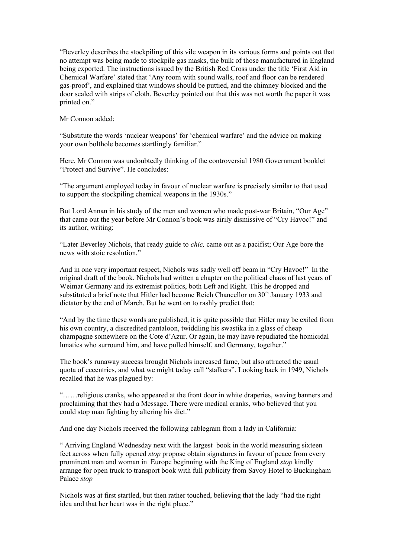"Beverley describes the stockpiling of this vile weapon in its various forms and points out that no attempt was being made to stockpile gas masks, the bulk of those manufactured in England being exported. The instructions issued by the British Red Cross under the title 'First Aid in Chemical Warfare' stated that 'Any room with sound walls, roof and floor can be rendered gas-proof', and explained that windows should be puttied, and the chimney blocked and the door sealed with strips of cloth. Beverley pointed out that this was not worth the paper it was printed on."

Mr Connon added:

"Substitute the words 'nuclear weapons' for 'chemical warfare' and the advice on making your own bolthole becomes startlingly familiar."

Here, Mr Connon was undoubtedly thinking of the controversial 1980 Government booklet "Protect and Survive". He concludes:

"The argument employed today in favour of nuclear warfare is precisely similar to that used to support the stockpiling chemical weapons in the 1930s."

But Lord Annan in his study of the men and women who made post-war Britain, "Our Age" that came out the year before Mr Connon's book was airily dismissive of "Cry Havoc!" and its author, writing:

"Later Beverley Nichols, that ready guide to *chic,* came out as a pacifist; Our Age bore the news with stoic resolution."

And in one very important respect, Nichols was sadly well off beam in "Cry Havoc!" In the original draft of the book, Nichols had written a chapter on the political chaos of last years of Weimar Germany and its extremist politics, both Left and Right. This he dropped and substituted a brief note that Hitler had become Reich Chancellor on 30<sup>th</sup> January 1933 and dictator by the end of March. But he went on to rashly predict that:

"And by the time these words are published, it is quite possible that Hitler may be exiled from his own country, a discredited pantaloon, twiddling his swastika in a glass of cheap champagne somewhere on the Cote d'Azur. Or again, he may have repudiated the homicidal lunatics who surround him, and have pulled himself, and Germany, together."

The book's runaway success brought Nichols increased fame, but also attracted the usual quota of eccentrics, and what we might today call "stalkers". Looking back in 1949, Nichols recalled that he was plagued by:

"……religious cranks, who appeared at the front door in white draperies, waving banners and proclaiming that they had a Message. There were medical cranks, who believed that you could stop man fighting by altering his diet."

And one day Nichols received the following cablegram from a lady in California:

" Arriving England Wednesday next with the largest book in the world measuring sixteen feet across when fully opened *stop* propose obtain signatures in favour of peace from every prominent man and woman in Europe beginning with the King of England *stop* kindly arrange for open truck to transport book with full publicity from Savoy Hotel to Buckingham Palace *stop* 

Nichols was at first startled, but then rather touched, believing that the lady "had the right idea and that her heart was in the right place."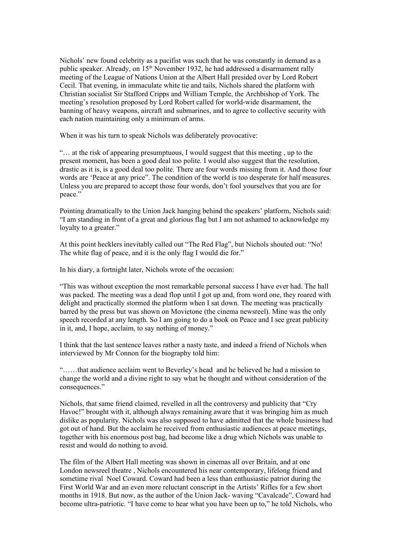Nichols' new found celebrity as a pacifist was such that he was constantly in demand as a public speaker. Already, on 15<sup>th</sup> November 1932, he had addressed a disarmament rally meeting of the League of Nations Union at the Albert Hall presided over by Lord Robert Cecil. That evening, in immaculate white tie and tails, Nichols shared the platform with Christian socialist Sir Stafford Cripps and William Temple, the Archbishop of York. The meeting's resolution proposed by Lord Robert called for world-wide disarmament, the banning of heavy weapons, aircraft and submarines, and to agree to collective security with each nation maintaining only a minimum of arms.

When it was his turn to speak Nichols was deliberately provocative:

"… at the risk of appearing presumptuous, I would suggest that this meeting , up to the present moment, has been a good deal too polite. I would also suggest that the resolution, drastic as it is, is a good deal too polite. There are four words missing from it. And those four words are 'Peace at any price". The condition of the world is too desperate for half measures. Unless you are prepared to accept those four words, don't fool yourselves that you are for peace."

Pointing dramatically to the Union Jack hanging behind the speakers' platform, Nichols said: "I am standing in front of a great and glorious flag but I am not ashamed to acknowledge my loyalty to a greater."

At this point hecklers inevitably called out "The Red Flag", but Nichols shouted out: "No! The white flag of peace, and it is the only flag I would die for."

In his diary, a fortnight later, Nichols wrote of the occasion:

"This was without exception the most remarkable personal success I have ever had. The hall was packed. The meeting was a dead flop until I got up and, from word one, they roared with delight and practically stormed the platform when I sat down. The meeting was practically barred by the press but was shown on Movietone (the cinema newsreel). Mine was the only speech recorded at any length. So I am going to do a book on Peace and I see great publicity in it, and, I hope, acclaim, to say nothing of money."

I think that the last sentence leaves rather a nasty taste, and indeed a friend of Nichols when interviewed by Mr Connon for the biography told him:

"……that audience acclaim went to Beverley's head and he believed he had a mission to change the world and a divine right to say what he thought and without consideration of the consequences."

Nichols, that same friend claimed, revelled in all the controversy and publicity that "Cry Havoc!" brought with it, although always remaining aware that it was bringing him as much dislike as popularity. Nichols was also supposed to have admitted that the whole business had got out of hand. But the acclaim he received from enthusiastic audiences at peace meetings, together with his enormous post bag, had become like a drug which Nichols was unable to resist and would do nothing to avoid.

The film of the Albert Hall meeting was shown in cinemas all over Britain, and at one London newsreel theatre , Nichols encountered his near contemporary, lifelong friend and sometime rival Noel Coward. Coward had been a less than enthusiastic patriot during the First World War and an even more reluctant conscript in the Artists' Rifles for a few short months in 1918. But now, as the author of the Union Jack- waving "Cavalcade", Coward had become ultra-patriotic. "I have come to hear what you have been up to," he told Nichols, who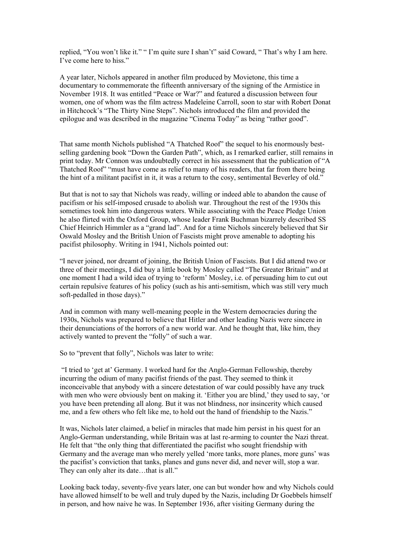replied, "You won't like it." " I'm quite sure I shan't" said Coward, " That's why I am here. I've come here to hiss."

A year later, Nichols appeared in another film produced by Movietone, this time a documentary to commemorate the fifteenth anniversary of the signing of the Armistice in November 1918. It was entitled "Peace or War?" and featured a discussion between four women, one of whom was the film actress Madeleine Carroll, soon to star with Robert Donat in Hitchcock's "The Thirty Nine Steps". Nichols introduced the film and provided the epilogue and was described in the magazine "Cinema Today" as being "rather good".

That same month Nichols published "A Thatched Roof" the sequel to his enormously bestselling gardening book "Down the Garden Path", which, as I remarked earlier, still remains in print today. Mr Connon was undoubtedly correct in his assessment that the publication of "A Thatched Roof" "must have come as relief to many of his readers, that far from there being the hint of a militant pacifist in it, it was a return to the cosy, sentimental Beverley of old."

But that is not to say that Nichols was ready, willing or indeed able to abandon the cause of pacifism or his self-imposed crusade to abolish war. Throughout the rest of the 1930s this sometimes took him into dangerous waters. While associating with the Peace Pledge Union he also flirted with the Oxford Group, whose leader Frank Buchman bizarrely described SS Chief Heinrich Himmler as a "grand lad". And for a time Nichols sincerely believed that Sir Oswald Mosley and the British Union of Fascists might prove amenable to adopting his pacifist philosophy. Writing in 1941, Nichols pointed out:

"I never joined, nor dreamt of joining, the British Union of Fascists. But I did attend two or three of their meetings, I did buy a little book by Mosley called "The Greater Britain" and at one moment I had a wild idea of trying to 'reform' Mosley, i.e. of persuading him to cut out certain repulsive features of his policy (such as his anti-semitism, which was still very much soft-pedalled in those days)."

And in common with many well-meaning people in the Western democracies during the 1930s, Nichols was prepared to believe that Hitler and other leading Nazis were sincere in their denunciations of the horrors of a new world war. And he thought that, like him, they actively wanted to prevent the "folly" of such a war.

So to "prevent that folly", Nichols was later to write:

 "I tried to 'get at' Germany. I worked hard for the Anglo-German Fellowship, thereby incurring the odium of many pacifist friends of the past. They seemed to think it inconceivable that anybody with a sincere detestation of war could possibly have any truck with men who were obviously bent on making it. 'Either you are blind,' they used to say, 'or you have been pretending all along. But it was not blindness, nor insincerity which caused me, and a few others who felt like me, to hold out the hand of friendship to the Nazis."

It was, Nichols later claimed, a belief in miracles that made him persist in his quest for an Anglo-German understanding, while Britain was at last re-arming to counter the Nazi threat. He felt that "the only thing that differentiated the pacifist who sought friendship with Germany and the average man who merely yelled 'more tanks, more planes, more guns' was the pacifist's conviction that tanks, planes and guns never did, and never will, stop a war. They can only alter its date...that is all."

Looking back today, seventy-five years later, one can but wonder how and why Nichols could have allowed himself to be well and truly duped by the Nazis, including Dr Goebbels himself in person, and how naive he was. In September 1936, after visiting Germany during the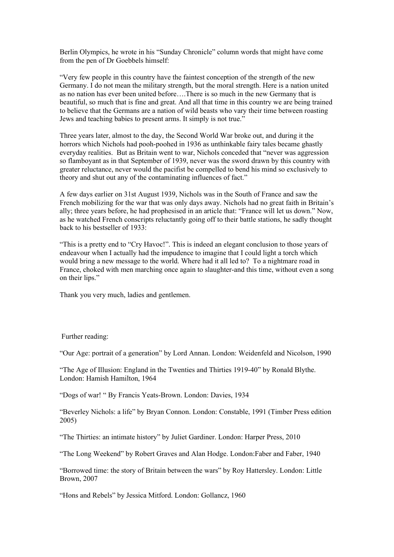Berlin Olympics, he wrote in his "Sunday Chronicle" column words that might have come from the pen of Dr Goebbels himself:

"Very few people in this country have the faintest conception of the strength of the new Germany. I do not mean the military strength, but the moral strength. Here is a nation united as no nation has ever been united before….There is so much in the new Germany that is beautiful, so much that is fine and great. And all that time in this country we are being trained to believe that the Germans are a nation of wild beasts who vary their time between roasting Jews and teaching babies to present arms. It simply is not true."

Three years later, almost to the day, the Second World War broke out, and during it the horrors which Nichols had pooh-poohed in 1936 as unthinkable fairy tales became ghastly everyday realities. But as Britain went to war, Nichols conceded that "never was aggression so flamboyant as in that September of 1939, never was the sword drawn by this country with greater reluctance, never would the pacifist be compelled to bend his mind so exclusively to theory and shut out any of the contaminating influences of fact."

A few days earlier on 31st August 1939, Nichols was in the South of France and saw the French mobilizing for the war that was only days away. Nichols had no great faith in Britain's ally; three years before, he had prophesised in an article that: "France will let us down." Now, as he watched French conscripts reluctantly going off to their battle stations, he sadly thought back to his bestseller of 1933:

"This is a pretty end to "Cry Havoc!". This is indeed an elegant conclusion to those years of endeavour when I actually had the impudence to imagine that I could light a torch which would bring a new message to the world. Where had it all led to? To a nightmare road in France, choked with men marching once again to slaughter-and this time, without even a song on their lips."

Thank you very much, ladies and gentlemen.

Further reading:

"Our Age: portrait of a generation" by Lord Annan. London: Weidenfeld and Nicolson, 1990

"The Age of Illusion: England in the Twenties and Thirties 1919-40" by Ronald Blythe. London: Hamish Hamilton, 1964

"Dogs of war! " By Francis Yeats-Brown. London: Davies, 1934

"Beverley Nichols: a life" by Bryan Connon. London: Constable, 1991 (Timber Press edition 2005)

"The Thirties: an intimate history" by Juliet Gardiner. London: Harper Press, 2010

"The Long Weekend" by Robert Graves and Alan Hodge. London:Faber and Faber, 1940

"Borrowed time: the story of Britain between the wars" by Roy Hattersley. London: Little Brown, 2007

"Hons and Rebels" by Jessica Mitford. London: Gollancz, 1960